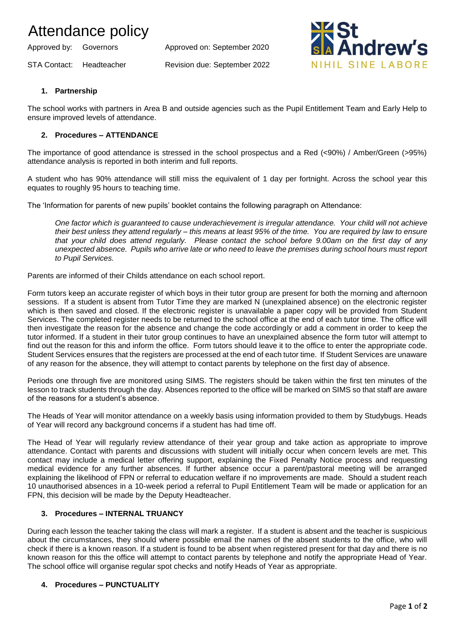# Attendance policy

Approved by: Governors Approved on: September 2020

STA Contact: Headteacher Revision due: September 2022



# **1. Partnership**

The school works with partners in Area B and outside agencies such as the Pupil Entitlement Team and Early Help to ensure improved levels of attendance.

# **2. Procedures – ATTENDANCE**

The importance of good attendance is stressed in the school prospectus and a Red (<90%) / Amber/Green (>95%) attendance analysis is reported in both interim and full reports.

A student who has 90% attendance will still miss the equivalent of 1 day per fortnight. Across the school year this equates to roughly 95 hours to teaching time.

The 'Information for parents of new pupils' booklet contains the following paragraph on Attendance:

*One factor which is guaranteed to cause underachievement is irregular attendance. Your child will not achieve their best unless they attend regularly – this means at least 95% of the time. You are required by law to ensure that your child does attend regularly. Please contact the school before 9.00am on the first day of any unexpected absence. Pupils who arrive late or who need to leave the premises during school hours must report to Pupil Services.*

Parents are informed of their Childs attendance on each school report.

Form tutors keep an accurate register of which boys in their tutor group are present for both the morning and afternoon sessions. If a student is absent from Tutor Time they are marked N (unexplained absence) on the electronic register which is then saved and closed. If the electronic register is unavailable a paper copy will be provided from Student Services. The completed register needs to be returned to the school office at the end of each tutor time. The office will then investigate the reason for the absence and change the code accordingly or add a comment in order to keep the tutor informed. If a student in their tutor group continues to have an unexplained absence the form tutor will attempt to find out the reason for this and inform the office. Form tutors should leave it to the office to enter the appropriate code. Student Services ensures that the registers are processed at the end of each tutor time. If Student Services are unaware of any reason for the absence, they will attempt to contact parents by telephone on the first day of absence.

Periods one through five are monitored using SIMS. The registers should be taken within the first ten minutes of the lesson to track students through the day. Absences reported to the office will be marked on SIMS so that staff are aware of the reasons for a student's absence.

The Heads of Year will monitor attendance on a weekly basis using information provided to them by Studybugs. Heads of Year will record any background concerns if a student has had time off.

The Head of Year will regularly review attendance of their year group and take action as appropriate to improve attendance. Contact with parents and discussions with student will initially occur when concern levels are met. This contact may include a medical letter offering support, explaining the Fixed Penalty Notice process and requesting medical evidence for any further absences. If further absence occur a parent/pastoral meeting will be arranged explaining the likelihood of FPN or referral to education welfare if no improvements are made. Should a student reach 10 unauthorised absences in a 10-week period a referral to Pupil Entitlement Team will be made or application for an FPN, this decision will be made by the Deputy Headteacher.

# **3. Procedures – INTERNAL TRUANCY**

During each lesson the teacher taking the class will mark a register. If a student is absent and the teacher is suspicious about the circumstances, they should where possible email the names of the absent students to the office, who will check if there is a known reason. If a student is found to be absent when registered present for that day and there is no known reason for this the office will attempt to contact parents by telephone and notify the appropriate Head of Year. The school office will organise regular spot checks and notify Heads of Year as appropriate.

#### **4. Procedures – PUNCTUALITY**